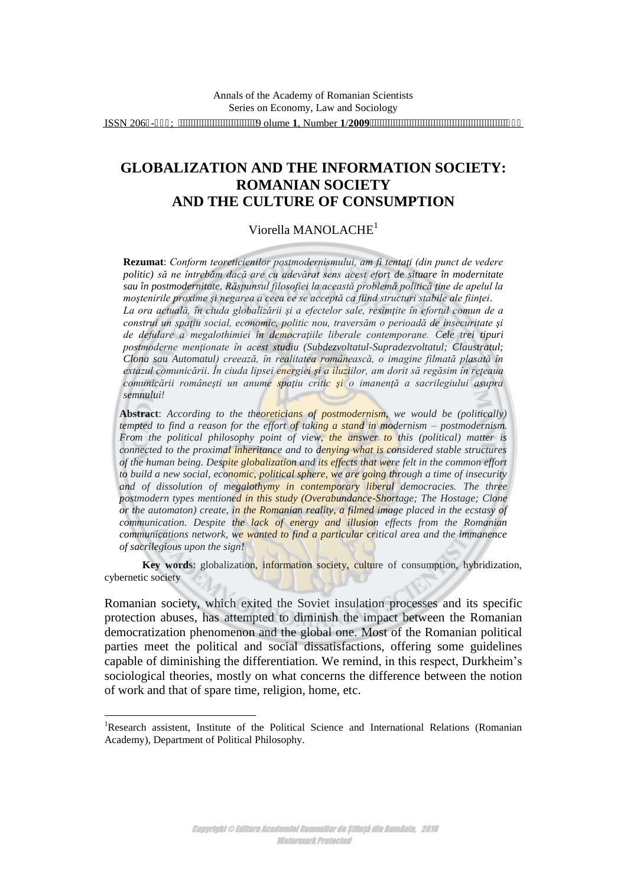# **GLOBALIZATION AND THE INFORMATION SOCIETY: ROMANIAN SOCIETY AND THE CULTURE OF CONSUMPTION**

### Viorella MANOLACHE<sup>1</sup>

**Rezumat**: *Conform teoreticienilor postmodernismului, am fi tentaţi (din punct de vedere politic) să ne întrebăm dacă are cu adevărat sens acest efort de situare în modernitate sau în postmodernitate. Răspunsul filosofiei la această problemă politică ţine de apelul la moştenirile proxime şi negarea a ceea ce se acceptă ca fiind structuri stabile ale fiinţei*. *La ora actuală, în ciuda globalizării şi a efectelor sale, resimţite în efortul comun de a construi un spaţiu social, economic, politic nou, traversăm o perioadă de insecuritate şi de defulare a megalothimiei în democraţiile liberale contemporane. Cele trei tipuri postmoderne menţionate în acest studiu (Subdezvoltatul-Supradezvoltatul; Claustratul; Clona sau Automatul) creează, în realitatea românească, o imagine filmată plasată în extazul comunicării*. *În ciuda lipsei energiei şi a iluziilor, am dorit să regăsim în reţeaua comunicării româneşti un anume spaţiu critic şi o imanenţă a sacrilegiului asupra semnului!*

**Abstract**: *According to the theoreticians of postmodernism, we would be (politically) tempted to find a reason for the effort of taking a stand in modernism – postmodernism. From the political philosophy point of view, the answer to this (political) matter is connected to the proximal inheritance and to denying what is considered stable structures of the human being. Despite globalization and its effects that were felt in the common effort to build a new social, economic, political sphere, we are going through a time of insecurity and of dissolution of megalothymy in contemporary liberal democracies. The three postmodern types mentioned in this study (Overabundance[-Shortage;](http://encarta.msn.com/thesaurus_561587721/shortage.html) The [Hostage;](http://ro-en.ro/index.php?d=e&q=captive) Clone or the automaton) create, in the Romanian reality, a filmed image placed in the ecstasy of communication. Despite the lack of energy and illusion effects from the Romanian communications network, we wanted to find a particular critical area and the immanence of sacrilegious upon the sign!* 

**Key words**: globalization, information society, culture of consumption, hybridization, cybernetic society

Romanian society, which exited the Soviet insulation processes and its specific protection abuses, has attempted to diminish the impact between the Romanian democratization phenomenon and the global one. Most of the Romanian political parties meet the political and social dissatisfactions, offering some guidelines capable of diminishing the differentiation. We remind, in this respect, Durkheim's sociological theories, mostly on what concerns the difference between the notion of work and that of spare time, religion, home, etc.

<sup>&</sup>lt;sup>1</sup>Research assistent, Institute of the Political Science and International Relations (Romanian Academy), Department of Political Philosophy.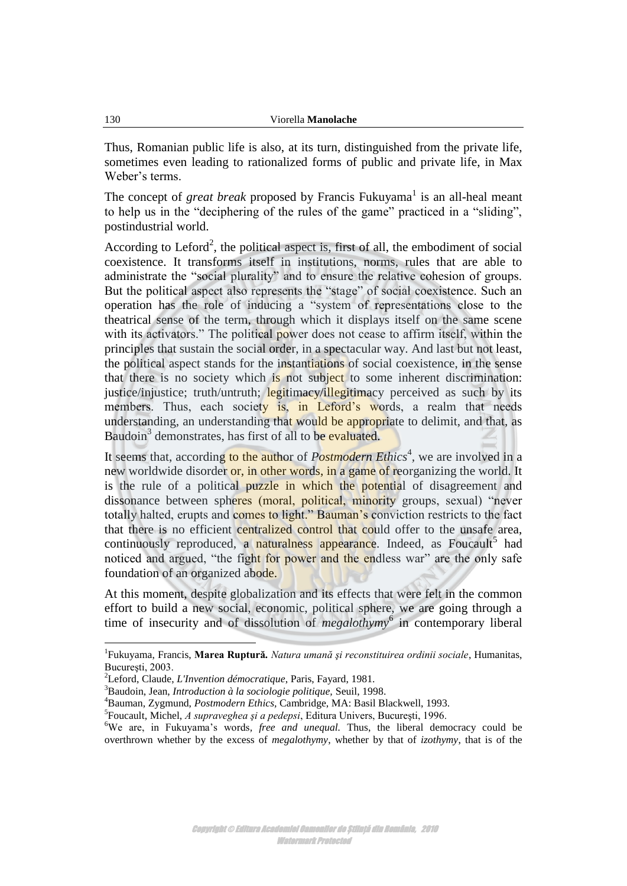Thus, Romanian public life is also, at its turn, distinguished from the private life, sometimes even leading to rationalized forms of public and private life, in Max Weber's terms.

The concept of *great break* proposed by Francis Fukuyama<sup>1</sup> is an all-heal meant to help us in the "deciphering of the rules of the game" practiced in a "sliding", postindustrial world.

According to Leford<sup>2</sup>, the political aspect is, first of all, the embodiment of social coexistence. It transforms itself in institutions, norms, rules that are able to administrate the "social plurality" and to ensure the relative cohesion of groups. But the political aspect also represents the "stage" of social coexistence. Such an operation has the role of inducing a "system of representations close to the theatrical sense of the term, through which it displays itself on the same scene with its activators." The political power does not cease to affirm itself, within the principles that sustain the social order, in a spectacular way. And last but not least, the political aspect stands for the instantiations of social coexistence, in the sense that there is no society which is not subject to some inherent discrimination: justice/injustice; truth/untruth; legitimacy/illegitimacy perceived as such by its members. Thus, each society is, in Leford's words, a realm that needs understanding, an understanding that would be appropriate to delimit, and that, as Baudoin<sup>3</sup> demonstrates, has first of all to be evaluated.

It seems that, according to the author of *Postmodern Ethics<sup>4</sup>*, we are involved in a new worldwide disorder or, in other words, in a game of reorganizing the world. It is the rule of a political puzzle in which the potential of disagreement and dissonance between spheres (moral, political, minority groups, sexual) "never totally halted, erupts and comes to light." Bauman's conviction restricts to the fact that there is no efficient centralized control that could offer to the unsafe area, continuously reproduced, a naturalness appearance. Indeed, as Foucault<sup>5</sup> had noticed and argued, "the fight for power and the endless war" are the only safe foundation of an organized abode.

At this moment, despite globalization and its effects that were felt in the common effort to build a new social, economic, political sphere, we are going through a time of insecurity and of dissolution of *megalothymy*<sup>6</sup> in contemporary liberal

<sup>1</sup> Fukuyama, Francis, **Marea Ruptură***. Natura umană şi reconstituirea ordinii sociale*, Humanitas, Bucureşti, 2003.

<sup>2</sup>Leford, Claude, *L'Invention démocratique*, Paris, Fayard, 1981.

<sup>3</sup>Baudoin, Jean, *Introduction à la sociologie politique,* Seuil, 1998.

<sup>4</sup>Bauman, Zygmund, *Postmodern Ethics,* Cambridge, MA: Basil Blackwell, 1993.

<sup>5</sup> Foucault, Michel, *A supraveghea şi a pedepsi*, Editura Univers, Bucureşti, 1996.

<sup>6</sup>We are, in Fukuyama's words*, free and unequal.* Thus, the liberal democracy could be overthrown whether by the excess of *megalothymy*, whether by that of *izothymy*, that is of the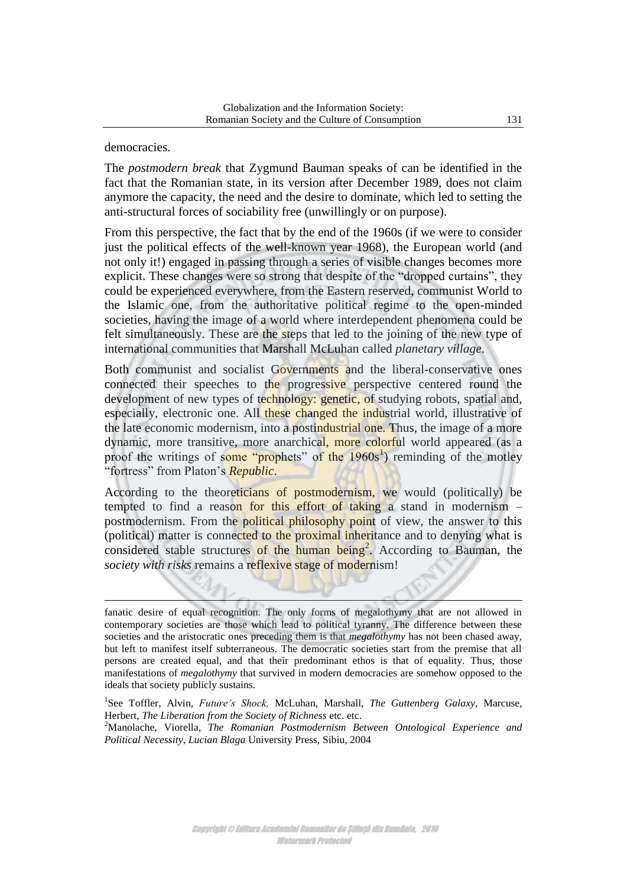#### democracies.

<u>.</u>

The *postmodern break* that Zygmund Bauman speaks of can be identified in the fact that the Romanian state, in its version after December 1989, does not claim anymore the capacity, the need and the desire to dominate, which led to setting the anti-structural forces of sociability free (unwillingly or on purpose).

From this perspective, the fact that by the end of the 1960s (if we were to consider just the political effects of the well-known year 1968), the European world (and not only it!) engaged in passing through a series of visible changes becomes more explicit. These changes were so strong that despite of the "dropped curtains", they could be experienced everywhere, from the Eastern reserved, communist World to the Islamic one, from the authoritative political regime to the open-minded societies, having the image of a world where interdependent phenomena could be felt simultaneously. These are the steps that led to the joining of the new type of international communities that Marshall McLuhan called *planetary village*.

Both communist and socialist Governments and the liberal-conservative ones connected their speeches to the progressive perspective centered round the development of new types of technology: genetic, of studying robots, spatial and, especially, electronic one. All these changed the industrial world, illustrative of the late economic modernism, into a postindustrial one. Thus, the image of a more dynamic, more transitive, more anarchical, more colorful world appeared (as a proof the writings of some "prophets" of the 1960s<sup>1</sup>) reminding of the motley "fortress" from Platon's *Republic*.

According to the theoreticians of postmodernism, we would (politically) be tempted to find a reason for this effort of taking a stand in modernism – postmodernism. From the political philosophy point of view, the answer to this (political) matter is connected to the proximal inheritance and to denying what is considered stable structures of the human being<sup>2</sup>. According to Bauman, the *society with risks* remains a reflexive stage of modernism!

fanatic desire of equal recognition. The only forms of megalothymy that are not allowed in contemporary societies are those which lead to political tyranny. The difference between these societies and the aristocratic ones preceding them is that *megalothymy* has not been chased away, but left to manifest itself subterraneous. The democratic societies start from the premise that all persons are created equal, and that their predominant ethos is that of equality. Thus, those manifestations of *megalothymy* that survived in modern democracies are somehow opposed to the ideals that society publicly sustains.

<sup>&</sup>lt;sup>1</sup>See Toffler, Alvin, *Future's Shock*, McLuhan, Marshall, *The Guttenberg Galaxy*, Marcuse, Herbert, *The Liberation from the Society of Richness* etc. etc.

<sup>2</sup>Manolache, Viorella, *The Romanian Postmodernism Between Ontological Experience and Political Necessity*, *Lucian Blaga* University Press, Sibiu, 2004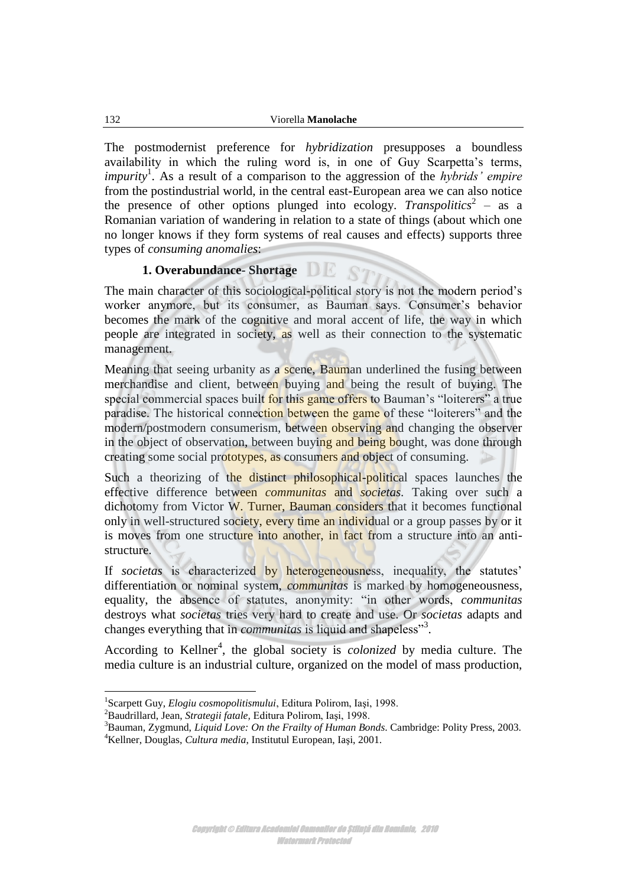The postmodernist preference for *hybridization* presupposes a boundless availability in which the ruling word is, in one of Guy Scarpetta's terms, *impurity*<sup>1</sup> . As a result of a comparison to the aggression of the *hybrids' empire* from the postindustrial world, in the central east-European area we can also notice the presence of other options plunged into ecology. *Transpolitics*<sup>2</sup> – as a Romanian variation of wandering in relation to a state of things (about which one no longer knows if they form systems of real causes and effects) supports three types of *consuming anomalies*:

#### **1. Overabundance- [Shortage](http://encarta.msn.com/thesaurus_561587721/shortage.html)**

The main character of this sociological-political story is not the modern period's worker anymore, but its consumer, as Bauman says. Consumer's behavior becomes the mark of the cognitive and moral accent of life, the way in which people are integrated in society, as well as their connection to the systematic management.

Meaning that seeing urbanity as a scene, Bauman underlined the fusing between merchandise and client, between buying and being the result of buying. The special commercial spaces built for this game offers to Bauman's "loiterers" a true paradise. The historical connection between the game of these "loiterers" and the modern/postmodern consumerism, between observing and changing the observer in the object of observation, between buying and being bought, was done through creating some social prototypes, as consumers and object of consuming.

Such a theorizing of the distinct philosophical-political spaces launches the effective difference between *communitas* and *societas.* Taking over such a dichotomy from Victor W. Turner, Bauman considers that it becomes functional only in well-structured society, every time an individual or a group passes by or it is moves from one structure into another, in fact from a structure into an antistructure.

If *societas* is characterized by heterogeneousness, inequality, the statutes' differentiation or nominal system, *communitas* is marked by homogeneousness, equality, the absence of statutes, anonymity: "in other words, *communitas* destroys what *societas* tries very hard to create and use. Or *societas* adapts and changes everything that in *communitas* is liquid and shapeless"<sup>3</sup> .

According to Kellner<sup>4</sup>, the global society is *colonized* by media culture. The media culture is an industrial culture, organized on the model of mass production,

<sup>1</sup> Scarpett Guy, *Elogiu cosmopolitismului*, Editura Polirom, Iaşi, 1998.

<sup>2</sup>Baudrillard, Jean, *Strategii fatale,* Editura Polirom, Iaşi, 1998.

<sup>3</sup>Bauman, Zygmund, *Liquid Love: On the Frailty of Human Bonds*. Cambridge: Polity Press, 2003. <sup>4</sup>Kellner, Douglas, *Cultura media*, Institutul European, Iaşi, 2001.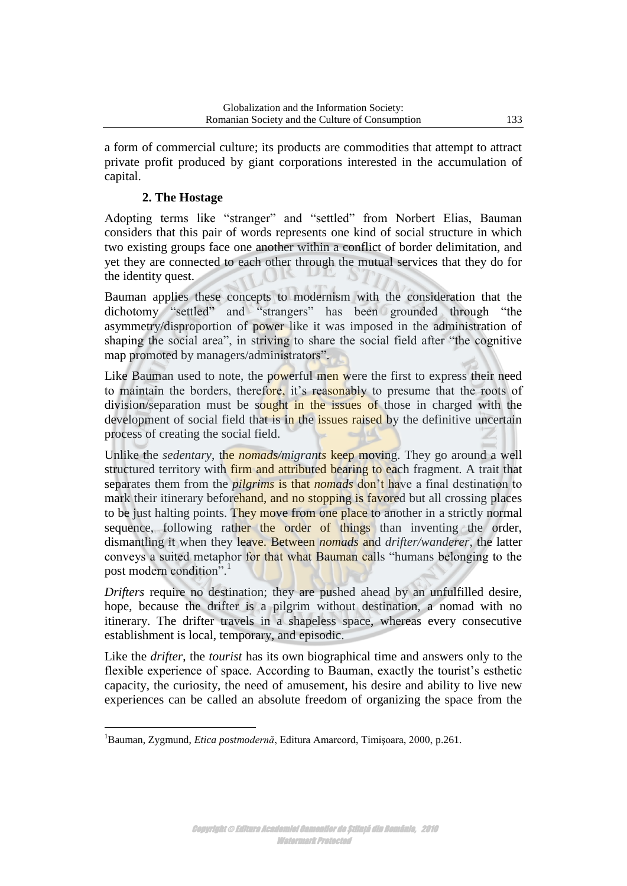a form of commercial culture; its products are commodities that attempt to attract private profit produced by giant corporations interested in the accumulation of capital.

## **2. The [Hostage](http://ro-en.ro/index.php?d=e&q=captive)**

Adopting terms like "stranger" and "settled" from Norbert Elias, Bauman considers that this pair of words represents one kind of social structure in which two existing groups face one another within a conflict of border delimitation, and yet they are connected to each other through the mutual services that they do for the identity quest.

Bauman applies these concepts to modernism with the consideration that the dichotomy "settled" and "strangers" has been grounded through "the asymmetry/disproportion of power like it was imposed in the administration of shaping the social area", in striving to share the social field after "the cognitive map promoted by managers/administrators".

Like Bauman used to note, the powerful men were the first to express their need to maintain the borders, therefore, it's reasonably to presume that the roots of division/separation must be sought in the issues of those in charged with the development of social field that is in the issues raised by the definitive uncertain process of creating the social field.

Unlike the *sedentary*, the *nomads/migrants* keep moving. They go around a well structured territory with firm and attributed bearing to each fragment. A trait that separates them from the *pilgrims* is that *nomads* don't have a final destination to mark their itinerary beforehand, and no stopping is favored but all crossing places to be just halting points. They move from one place to another in a strictly normal sequence, following rather the order of things than inventing the order, dismantling it when they leave. Between *nomads* and *drifter/wanderer*, the latter conveys a suited metaphor for that what Bauman calls "humans belonging to the post modern condition".

*Drifters* require no destination; they are pushed ahead by an unfulfilled desire, hope, because the drifter is a pilgrim without destination, a nomad with no itinerary. The drifter travels in a shapeless space, whereas every consecutive establishment is local, temporary, and episodic.

Like the *drifter*, the *tourist* has its own biographical time and answers only to the flexible experience of space. According to Bauman, exactly the tourist's esthetic capacity, the curiosity, the need of amusement, his desire and ability to live new experiences can be called an absolute freedom of organizing the space from the

 $\overline{a}$ <sup>1</sup>Bauman, Zygmund, *Etica postmodernă*, Editura Amarcord, Timişoara, 2000, p.261.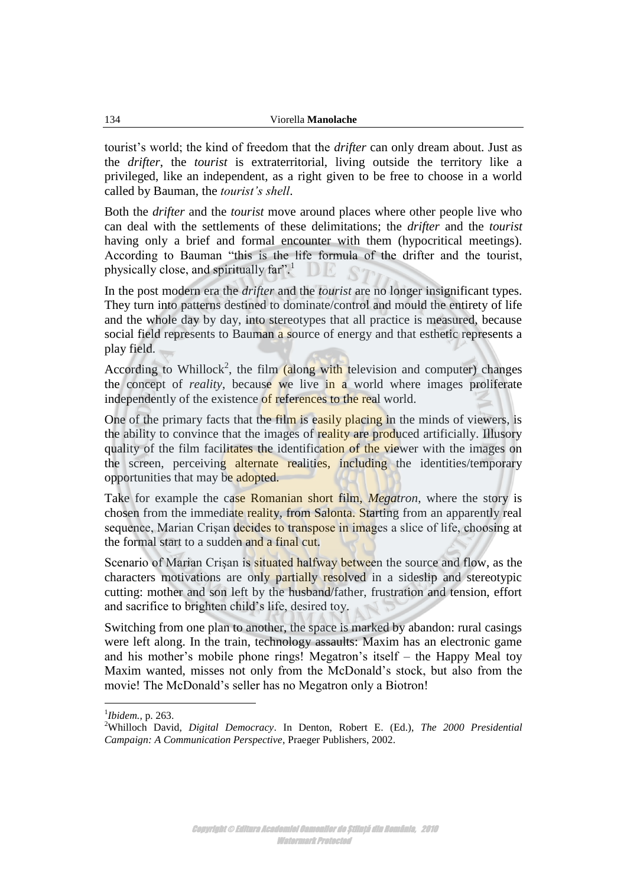tourist's world; the kind of freedom that the *drifter* can only dream about. Just as the *drifter*, the *tourist* is extraterritorial, living outside the territory like a privileged, like an independent, as a right given to be free to choose in a world called by Bauman, the *tourist's shell*.

Both the *drifter* and the *tourist* move around places where other people live who can deal with the settlements of these delimitations; the *drifter* and the *tourist* having only a brief and formal encounter with them (hypocritical meetings). According to Bauman "this is the life formula of the drifter and the tourist, physically close, and spiritually far".

In the post modern era the *drifter* and the *tourist* are no longer insignificant types. They turn into patterns destined to dominate/control and mould the entirety of life and the whole day by day, into stereotypes that all practice is measured, because social field represents to Bauman a source of energy and that esthetic represents a play field.

According to Whillock<sup>2</sup>, the film (along with television and computer) changes the concept of *reality*, because we live in a world where images proliferate independently of the existence of references to the real world.

One of the primary facts that the film is easily placing in the minds of viewers, is the ability to convince that the images of reality are produced artificially. Illusory quality of the film facilitates the identification of the viewer with the images on the screen, perceiving alternate realities, including the identities/temporary opportunities that may be adopted.

Take for example the case Romanian short film, *Megatron*, where the story is chosen from the immediate reality, from Salonta. Starting from an apparently real sequence, Marian Crisan decides to transpose in images a slice of life, choosing at the formal start to a sudden and a final cut.

Scenario of Marian Crisan is situated halfway between the source and flow, as the characters motivations are only partially resolved in a sideslip and stereotypic cutting: mother and son left by the husband/father, frustration and tension, effort and sacrifice to brighten child's life, desired toy.

Switching from one plan to another, the space is marked by abandon: rural casings were left along. In the train, technology assaults: Maxim has an electronic game and his mother's mobile phone rings! Megatron's itself – the Happy Meal toy Maxim wanted, misses not only from the McDonald's stock, but also from the movie! The McDonald's seller has no Megatron only a Biotron!

<sup>1</sup> *Ibidem.,* p. 263.

<sup>2</sup>Whilloch David, *Digital Democracy*. In Denton, Robert E. (Ed.), *The 2000 Presidential Campaign: A Communication Perspective*, Praeger Publishers, 2002.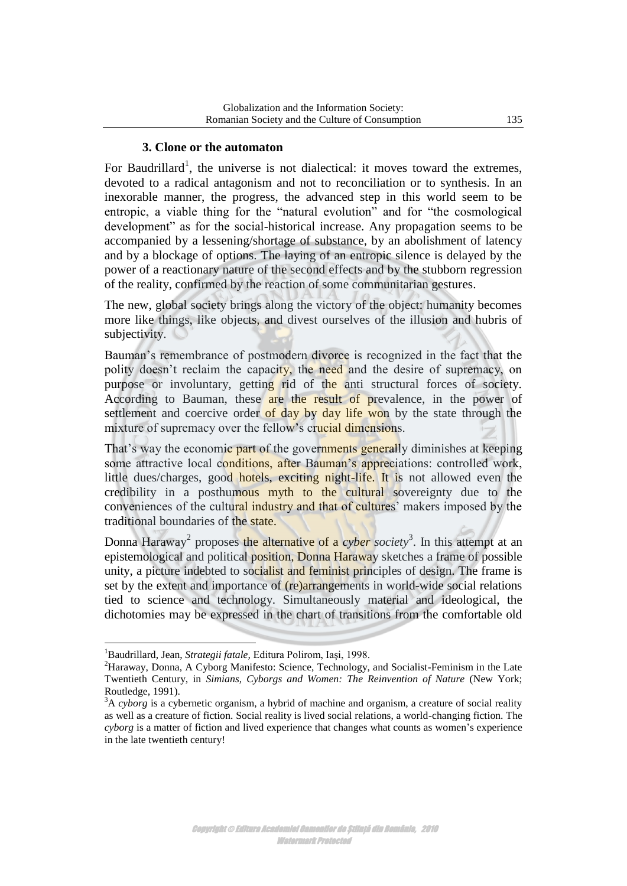#### **3. Clone or the automaton**

For Baudrillard<sup>1</sup>, the universe is not dialectical: it moves toward the extremes, devoted to a radical antagonism and not to reconciliation or to synthesis. In an inexorable manner, the progress, the advanced step in this world seem to be entropic, a viable thing for the "natural evolution" and for "the cosmological development" as for the social-historical increase. Any propagation seems to be accompanied by a lessening/shortage of substance, by an abolishment of latency and by a blockage of options. The laying of an entropic silence is delayed by the power of a reactionary nature of the second effects and by the stubborn regression of the reality, confirmed by the reaction of some communitarian gestures.

The new, global society brings along the victory of the object: humanity becomes more like things, like objects, and divest ourselves of the illusion and hubris of subjectivity.

Bauman's remembrance of postmodern divorce is recognized in the fact that the polity doesn't reclaim the capacity, the need and the desire of supremacy, on purpose or involuntary, getting rid of the anti structural forces of society. According to Bauman, these are the result of prevalence, in the power of settlement and coercive order of day by day life won by the state through the mixture of supremacy over the fellow's crucial dimensions.

That's way the economic part of the governments generally diminishes at keeping some attractive local conditions, after Bauman's appreciations: controlled work, little dues/charges, good hotels, exciting night-life. It is not allowed even the credibility in a posthumous myth to the cultural sovereignty due to the conveniences of the cultural industry and that of cultures' makers imposed by the traditional boundaries of the state.

Donna Haraway<sup>2</sup> proposes the alternative of a *cyber society*<sup>3</sup>. In this attempt at an epistemological and political position, Donna Haraway sketches a frame of possible unity, a picture indebted to socialist and feminist principles of design. The frame is set by the extent and importance of (re)arrangements in world-wide social relations tied to science and technology. Simultaneously material and ideological, the dichotomies may be expressed in the chart of transitions from the comfortable old

<sup>1</sup>Baudrillard, Jean, *Strategii fatale,* Editura Polirom, Iaşi, 1998.

<sup>2</sup>Haraway, Donna, A Cyborg Manifesto: Science, Technology, and Socialist-Feminism in the Late Twentieth Century, in *Simians, Cyborgs and Women: The Reinvention of Nature* (New York; Routledge, 1991).

<sup>3</sup>A *cyborg* is a cybernetic organism, a hybrid of machine and organism, a creature of social reality as well as a creature of fiction. Social reality is lived social relations, a world-changing fiction. The *cyborg* is a matter of fiction and lived experience that changes what counts as women's experience in the late twentieth century!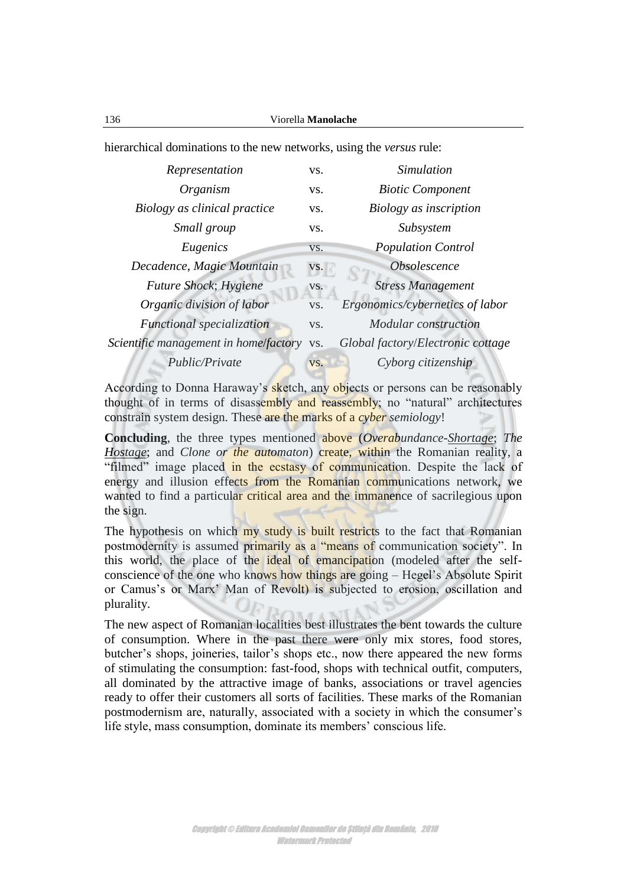hierarchical dominations to the new networks, using the *versus* rule:

| Representation                            | VS. | Simulation                        |
|-------------------------------------------|-----|-----------------------------------|
| Organism                                  | VS. | <b>Biotic Component</b>           |
| Biology as clinical practice              | VS. | Biology as inscription            |
| Small group                               | VS. | Subsystem                         |
| Eugenics                                  | VS. | <b>Population Control</b>         |
| Decadence, Magic Mountain                 | VS. | Obsolescence                      |
| Future Shock; Hygiene                     | VS. | <b>Stress Management</b>          |
| Organic division of labor                 | VS. | Ergonomics/cybernetics of labor   |
| Functional specialization                 | VS. | Modular construction              |
| Scientific management in home/factory vs. |     | Global factory/Electronic cottage |
| Public/Private                            | VS. | Cyborg citizenship                |
|                                           |     |                                   |

According to Donna Haraway's sketch, any objects or persons can be reasonably thought of in terms of disassembly and reassembly; no "natural" architectures constrain system design. These are the marks of a *cyber semiology*!

**Concluding**, the three types mentioned above (*Overabundance[-Shortage](http://encarta.msn.com/thesaurus_561587721/shortage.html)*; *The [Hostage](http://ro-en.ro/index.php?d=e&q=captive)*; and *Clone or the automaton*) create, within the Romanian reality, a "filmed" image placed in the ecstasy of communication. Despite the lack of energy and illusion effects from the Romanian communications network, we wanted to find a particular critical area and the immanence of sacrilegious upon the sign.

The hypothesis on which my study is built restricts to the fact that Romanian postmodernity is assumed primarily as a "means of communication society". In this world, the place of the ideal of emancipation (modeled after the selfconscience of the one who knows how things are going – Hegel's Absolute Spirit or Camus's or Marx' Man of Revolt) is subjected to erosion, oscillation and plurality.

The new aspect of Romanian localities best illustrates the bent towards the culture of consumption. Where in the past there were only mix stores, food stores, butcher's shops, joineries, tailor's shops etc., now there appeared the new forms of stimulating the consumption: fast-food, shops with technical outfit, computers, all dominated by the attractive image of banks, associations or travel agencies ready to offer their customers all sorts of facilities. These marks of the Romanian postmodernism are, naturally, associated with a society in which the consumer's life style, mass consumption, dominate its members' conscious life.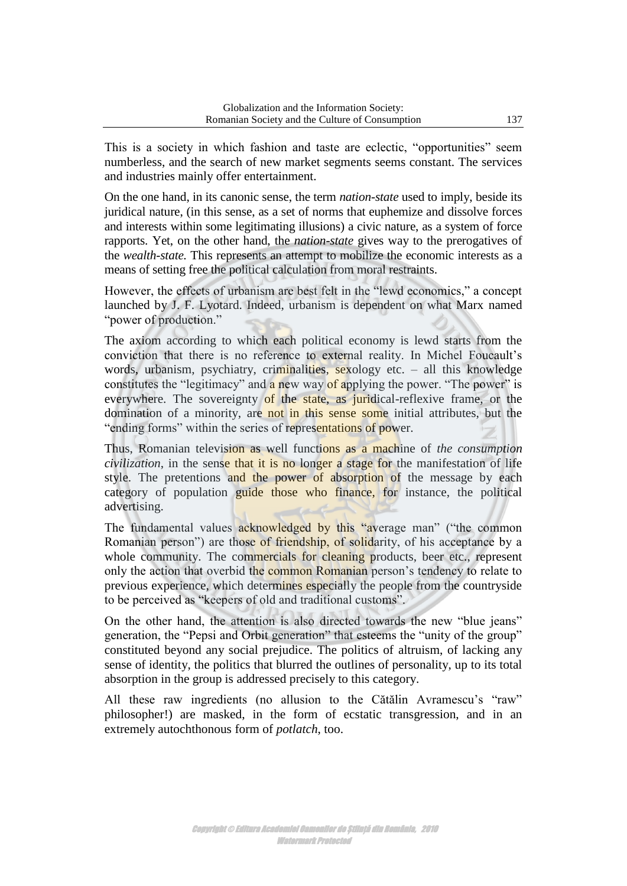This is a society in which fashion and taste are eclectic, "opportunities" seem numberless, and the search of new market segments seems constant. The services and industries mainly offer entertainment.

On the one hand, in its canonic sense, the term *nation-state* used to imply, beside its juridical nature, (in this sense, as a set of norms that euphemize and dissolve forces and interests within some legitimating illusions) a civic nature, as a system of force rapports. Yet, on the other hand, the *nation-state* gives way to the prerogatives of the *wealth-state.* This represents an attempt to mobilize the economic interests as a means of setting free the political calculation from moral restraints.

However, the effects of urbanism are best felt in the "lewd economics," a concept launched by J. F. Lyotard. Indeed, urbanism is dependent on what Marx named "power of production."

The axiom according to which each political economy is lewd starts from the conviction that there is no reference to external reality. In Michel Foucault's words, urbanism, psychiatry, criminalities, sexology etc. – all this knowledge constitutes the "legitimacy" and a new way of applying the power. "The power" is everywhere. The sovereignty of the state, as juridical-reflexive frame, or the domination of a minority, are not in this sense some initial attributes, but the "ending forms" within the series of representations of power.

Thus, Romanian television as well functions as a machine of *the consumption civilization*, in the sense that it is no longer a stage for the manifestation of life style. The pretentions and the power of absorption of the message by each category of population guide those who finance, for instance, the political advertising.

The fundamental values acknowledged by this "average man" ("the common Romanian person") are those of friendship, of solidarity, of his acceptance by a whole community. The commercials for cleaning products, beer etc., represent only the action that overbid the common Romanian person's tendency to relate to previous experience, which determines especially the people from the countryside to be perceived as "keepers of old and traditional customs".

On the other hand, the attention is also directed towards the new "blue jeans" generation, the "Pepsi and Orbit generation" that esteems the "unity of the group" constituted beyond any social prejudice. The politics of altruism, of lacking any sense of identity, the politics that blurred the outlines of personality, up to its total absorption in the group is addressed precisely to this category.

All these raw ingredients (no allusion to the Cătălin Avramescu's "raw" philosopher!) are masked, in the form of ecstatic transgression, and in an extremely autochthonous form of *potlatch*, too.